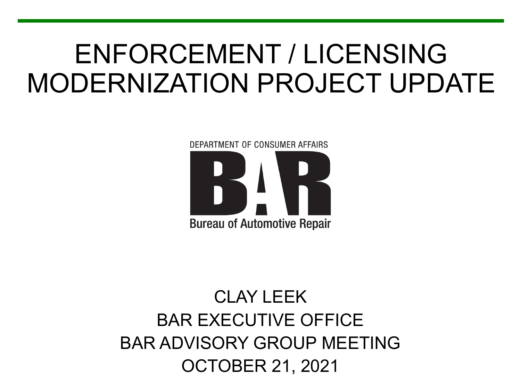# ENFORCEMENT / LICENSING MODERNIZATION PROJECT UPDATE

DEPARTMENT OF CONSUMER AFFAIRS **Bureau of Automotive Repair** 

#### CLAY LEEK BAR EXECUTIVE OFFICE BAR ADVISORY GROUP MEETING OCTOBER 21, 2021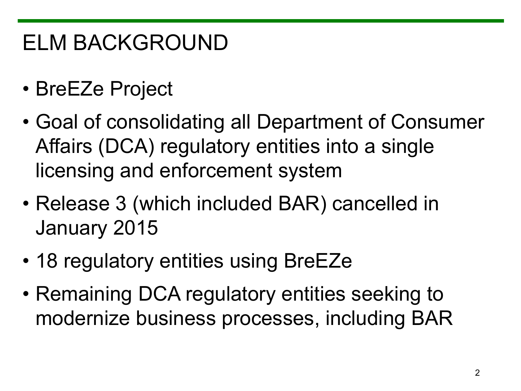## ELM BACKGROUND

- BreEZe Project
- Goal of consolidating all Department of Consumer Affairs (DCA) regulatory entities into a single licensing and enforcement system
- Release 3 (which included BAR) cancelled in January 2015
- 18 regulatory entities using BreEZe
- Remaining DCA regulatory entities seeking to modernize business processes, including BAR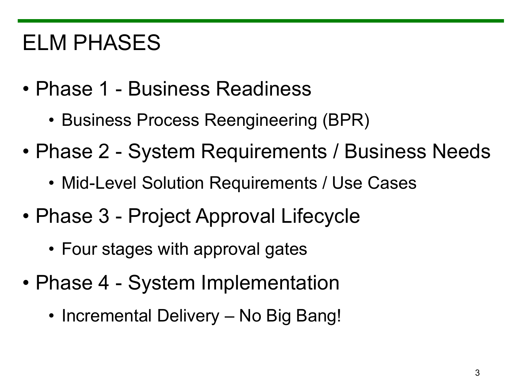### ELM PHASES

- Phase 1 Business Readiness
	- Business Process Reengineering (BPR)
- Phase 2 System Requirements / Business Needs
	- Mid-Level Solution Requirements / Use Cases
- Phase 3 Project Approval Lifecycle
	- Four stages with approval gates
- Phase 4 System Implementation
	- Incremental Delivery No Big Bang!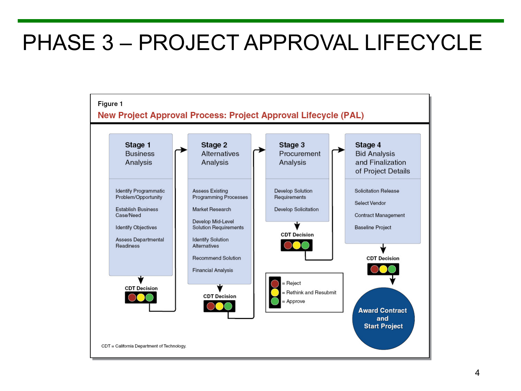#### PHASE 3 – PROJECT APPROVAL LIFECYCLE

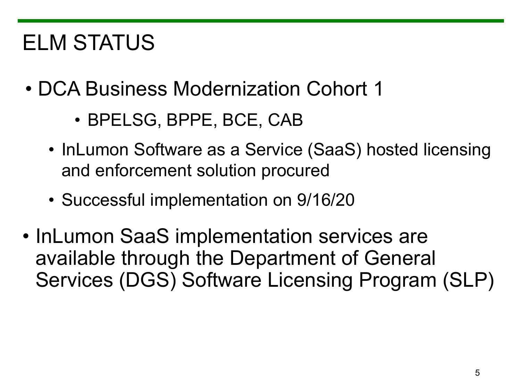## ELM STATUS

- DCA Business Modernization Cohort 1
	- BPELSG, BPPE, BCE, CAB
	- InLumon Software as a Service (SaaS) hosted licensing and enforcement solution procured
	- Successful implementation on 9/16/20
- InLumon SaaS implementation services are available through the Department of General Services (DGS) Software Licensing Program (SLP)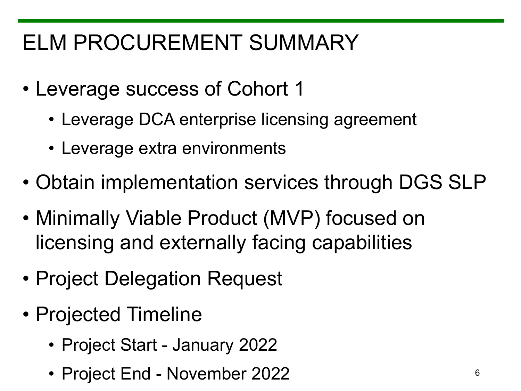## ELM PROCUREMENT SUMMARY

- Leverage success of Cohort 1
	- Leverage DCA enterprise licensing agreement
	- Leverage extra environments
- Obtain implementation services through DGS SLP
- Minimally Viable Product (MVP) focused on licensing and externally facing capabilities
- Project Delegation Request
- Projected Timeline
	- Project Start January 2022
	- Project End November 2022